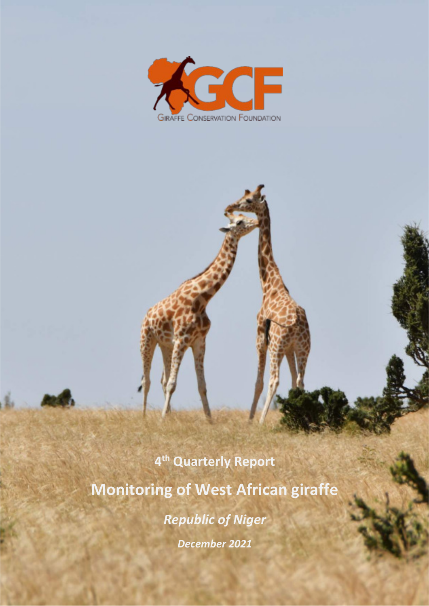

**4 th Quarterly Report Monitoring of West African giraffe**  *Republic of Niger December 2021*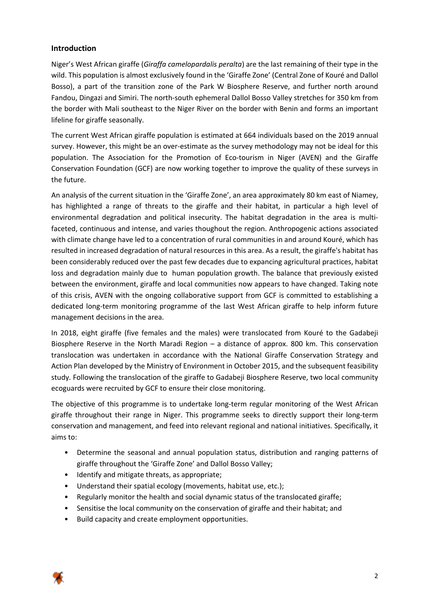## **Introduction**

Niger's West African giraffe (*Giraffa camelopardalis peralta*) are the last remaining of their type in the wild. This population is almost exclusively found in the 'Giraffe Zone' (Central Zone of Kouré and Dallol Bosso), a part of the transition zone of the Park W Biosphere Reserve, and further north around Fandou, Dingazi and Simiri. The north-south ephemeral Dallol Bosso Valley stretches for 350 km from the border with Mali southeast to the Niger River on the border with Benin and forms an important lifeline for giraffe seasonally.

The current West African giraffe population is estimated at 664 individuals based on the 2019 annual survey. However, this might be an over-estimate as the survey methodology may not be ideal for this population. The Association for the Promotion of Eco-tourism in Niger (AVEN) and the Giraffe Conservation Foundation (GCF) are now working together to improve the quality of these surveys in the future.

An analysis of the current situation in the 'Giraffe Zone', an area approximately 80 km east of Niamey, has highlighted a range of threats to the giraffe and their habitat, in particular a high level of environmental degradation and political insecurity. The habitat degradation in the area is multifaceted, continuous and intense, and varies thoughout the region. Anthropogenic actions associated with climate change have led to a concentration of rural communities in and around Kouré, which has resulted in increased degradation of natural resources in this area. As a result, the giraffe's habitat has been considerably reduced over the past few decades due to expancing agricultural practices, habitat loss and degradation mainly due to human population growth. The balance that previously existed between the environment, giraffe and local communities now appears to have changed. Taking note of this crisis, AVEN with the ongoing collaborative support from GCF is committed to establishing a dedicated long-term monitoring programme of the last West African giraffe to help inform future management decisions in the area.

In 2018, eight giraffe (five females and the males) were translocated from Kouré to the Gadabeji Biosphere Reserve in the North Maradi Region – a distance of approx. 800 km. This conservation translocation was undertaken in accordance with the National Giraffe Conservation Strategy and Action Plan developed by the Ministry of Environment in October 2015, and the subsequent feasibility study. Following the translocation of the giraffe to Gadabeji Biosphere Reserve, two local community ecoguards were recruited by GCF to ensure their close monitoring.

The objective of this programme is to undertake long-term regular monitoring of the West African giraffe throughout their range in Niger. This programme seeks to directly support their long-term conservation and management, and feed into relevant regional and national initiatives. Specifically, it aims to:

- Determine the seasonal and annual population status, distribution and ranging patterns of giraffe throughout the 'Giraffe Zone' and Dallol Bosso Valley;
- Identify and mitigate threats, as appropriate;
- Understand their spatial ecology (movements, habitat use, etc.);
- Regularly monitor the health and social dynamic status of the translocated giraffe;
- Sensitise the local community on the conservation of giraffe and their habitat; and
- Build capacity and create employment opportunities.

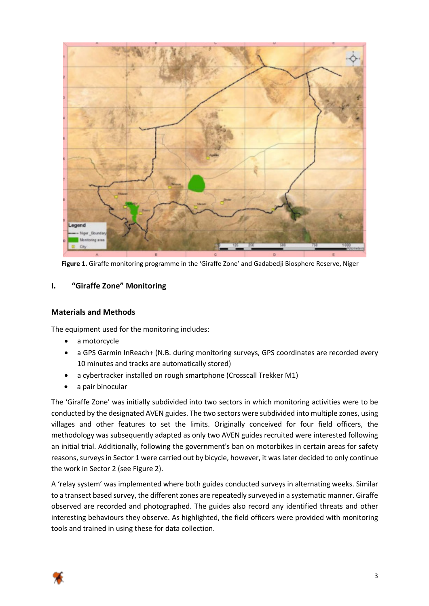

**Figure 1.** Giraffe monitoring programme in the 'Giraffe Zone' and Gadabedji Biosphere Reserve, Niger

## **I. "Giraffe Zone" Monitoring**

## **Materials and Methods**

The equipment used for the monitoring includes:

- a motorcycle
- a GPS Garmin InReach+ (N.B. during monitoring surveys, GPS coordinates are recorded every 10 minutes and tracks are automatically stored)
- a cybertracker installed on rough smartphone (Crosscall Trekker M1)
- a pair binocular

The 'Giraffe Zone' was initially subdivided into two sectors in which monitoring activities were to be conducted by the designated AVEN guides. The two sectors were subdivided into multiple zones, using villages and other features to set the limits. Originally conceived for four field officers, the methodology was subsequently adapted as only two AVEN guides recruited were interested following an initial trial. Additionally, following the government's ban on motorbikes in certain areas for safety reasons, surveys in Sector 1 were carried out by bicycle, however, it was later decided to only continue the work in Sector 2 (see Figure 2).

A 'relay system' was implemented where both guides conducted surveys in alternating weeks. Similar to a transect based survey, the different zones are repeatedly surveyed in a systematic manner. Giraffe observed are recorded and photographed. The guides also record any identified threats and other interesting behaviours they observe. As highlighted, the field officers were provided with monitoring tools and trained in using these for data collection.

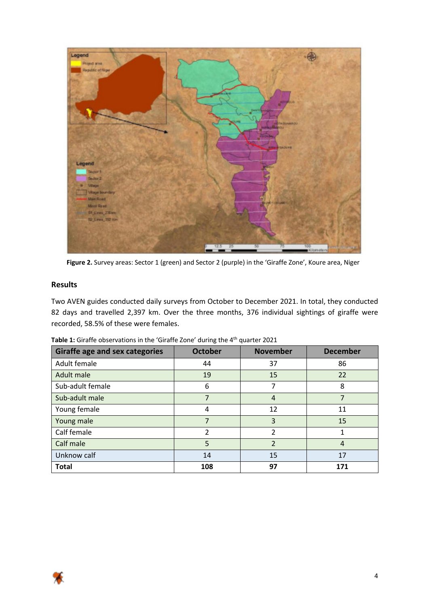

**Figure 2.** Survey areas: Sector 1 (green) and Sector 2 (purple) in the 'Giraffe Zone', Koure area, Niger

## **Results**

Two AVEN guides conducted daily surveys from October to December 2021. In total, they conducted 82 days and travelled 2,397 km. Over the three months, 376 individual sightings of giraffe were recorded, 58.5% of these were females.

| Giraffe age and sex categories | <b>October</b> | <b>November</b>          | <b>December</b> |  |
|--------------------------------|----------------|--------------------------|-----------------|--|
| Adult female                   | 44             | 37                       | 86              |  |
| Adult male                     | 19             | 15                       | 22              |  |
| Sub-adult female               | 6              | 7                        | 8               |  |
| Sub-adult male                 | 7              | 4                        | 7               |  |
| Young female                   | 4              | 12                       | 11              |  |
| Young male                     | 7              | 3                        | 15              |  |
| Calf female                    | $\mathcal{P}$  | $\mathfrak{p}$           | 1               |  |
| Calf male                      | 5              | $\overline{\mathcal{L}}$ | $\overline{4}$  |  |
| Unknow calf                    | 14             | 15                       | 17              |  |
| <b>Total</b>                   | 108            | 97                       | 171             |  |

| Table 1: Giraffe observations in the 'Giraffe Zone' during the 4 <sup>th</sup> quarter 2021 |  |
|---------------------------------------------------------------------------------------------|--|
|---------------------------------------------------------------------------------------------|--|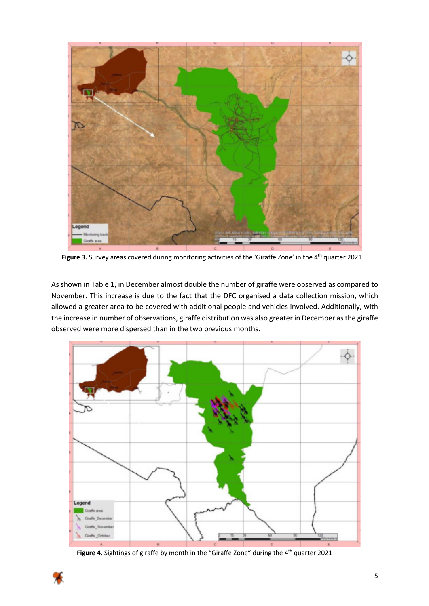

Figure 3. Survey areas covered during monitoring activities of the 'Giraffe Zone' in the 4<sup>th</sup> quarter 2021

As shown in Table 1, in December almost double the number of giraffe were observed as compared to November. This increase is due to the fact that the DFC organised a data collection mission, which allowed a greater area to be covered with additional people and vehicles involved. Additionally, with the increase in number of observations, giraffe distribution was also greater in December as the giraffe observed were more dispersed than in the two previous months.



Figure 4. Sightings of giraffe by month in the "Giraffe Zone" during the 4<sup>th</sup> quarter 2021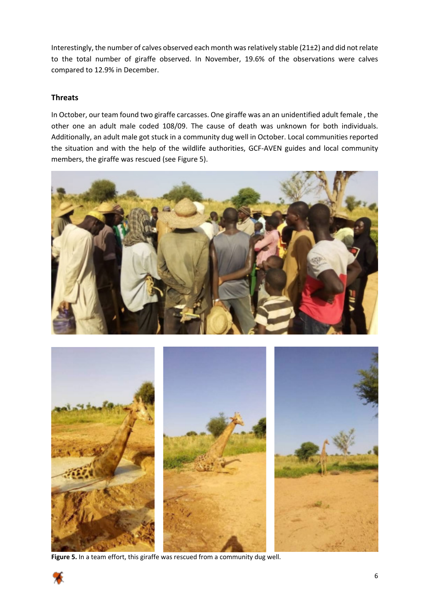Interestingly, the number of calves observed each month was relatively stable (21±2) and did not relate to the total number of giraffe observed. In November, 19.6% of the observations were calves compared to 12.9% in December.

## **Threats**

In October, our team found two giraffe carcasses. One giraffe was an an unidentified adult female , the other one an adult male coded 108/09. The cause of death was unknown for both individuals. Additionally, an adult male got stuck in a community dug well in October. Local communities reported the situation and with the help of the wildlife authorities, GCF-AVEN guides and local community members, the giraffe was rescued (see Figure 5).





**Figure 5.** In a team effort, this giraffe was rescued from a community dug well.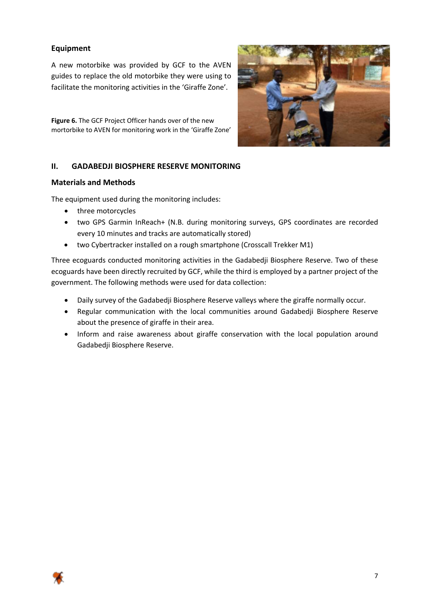## **Equipment**

A new motorbike was provided by GCF to the AVEN guides to replace the old motorbike they were using to facilitate the monitoring activities in the 'Giraffe Zone'.

**Figure 6.** The GCF Project Officer hands over of the new mortorbike to AVEN for monitoring work in the 'Giraffe Zone'



## **II. GADABEDJI BIOSPHERE RESERVE MONITORING**

#### **Materials and Methods**

The equipment used during the monitoring includes:

- three motorcycles
- two GPS Garmin InReach+ (N.B. during monitoring surveys, GPS coordinates are recorded every 10 minutes and tracks are automatically stored)
- two Cybertracker installed on a rough smartphone (Crosscall Trekker M1)

Three ecoguards conducted monitoring activities in the Gadabedji Biosphere Reserve. Two of these ecoguards have been directly recruited by GCF, while the third is employed by a partner project of the government. The following methods were used for data collection:

- Daily survey of the Gadabedji Biosphere Reserve valleys where the giraffe normally occur.
- Regular communication with the local communities around Gadabedji Biosphere Reserve about the presence of giraffe in their area.
- Inform and raise awareness about giraffe conservation with the local population around Gadabedji Biosphere Reserve.

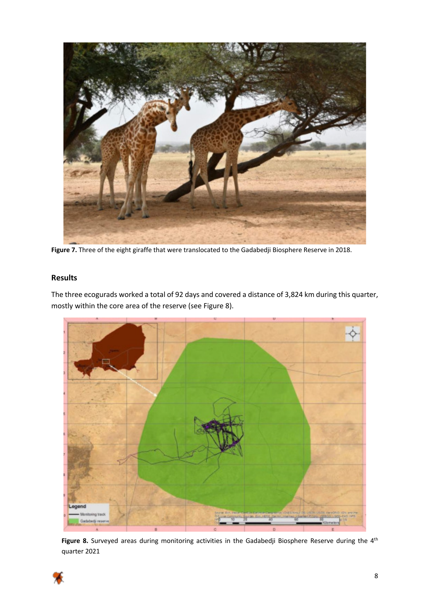

**Figure 7.** Three of the eight giraffe that were translocated to the Gadabedji Biosphere Reserve in 2018.

## **Results**

The three ecogurads worked a total of 92 days and covered a distance of 3,824 km during this quarter, mostly within the core area of the reserve (see Figure 8).



Figure 8. Surveyed areas during monitoring activities in the Gadabedji Biosphere Reserve during the 4<sup>th</sup> quarter 2021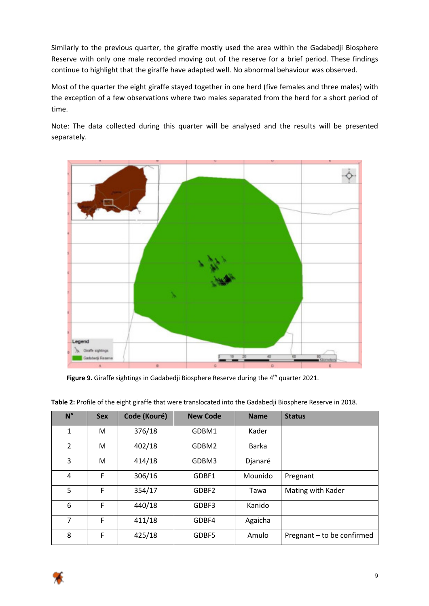Similarly to the previous quarter, the giraffe mostly used the area within the Gadabedji Biosphere Reserve with only one male recorded moving out of the reserve for a brief period. These findings continue to highlight that the giraffe have adapted well. No abnormal behaviour was observed.

Most of the quarter the eight giraffe stayed together in one herd (five females and three males) with the exception of a few observations where two males separated from the herd for a short period of time.

Note: The data collected during this quarter will be analysed and the results will be presented separately.



Figure 9. Giraffe sightings in Gadabedji Biosphere Reserve during the 4<sup>th</sup> quarter 2021.

| $N^{\circ}$    | <b>Sex</b> | Code (Kouré) | <b>New Code</b> | <b>Name</b>  | <b>Status</b>              |
|----------------|------------|--------------|-----------------|--------------|----------------------------|
| 1              | M          | 376/18       | GDBM1           | Kader        |                            |
| $\mathcal{P}$  | M          | 402/18       | GDBM2           | <b>Barka</b> |                            |
| 3              | M          | 414/18       | GDBM3           | Djanaré      |                            |
| 4              | F          | 306/16       | GDBF1           | Mounido      | Pregnant                   |
| 5              | F          | 354/17       | GDBF2           | Tawa         | Mating with Kader          |
| 6              | F          | 440/18       | GDBF3           | Kanido       |                            |
| $\overline{7}$ | F          | 411/18       | GDBF4           | Agaicha      |                            |
| 8              | F          | 425/18       | GDBF5           | Amulo        | Pregnant - to be confirmed |

**Table 2:** Profile of the eight giraffe that were translocated into the Gadabedji Biosphere Reserve in 2018.